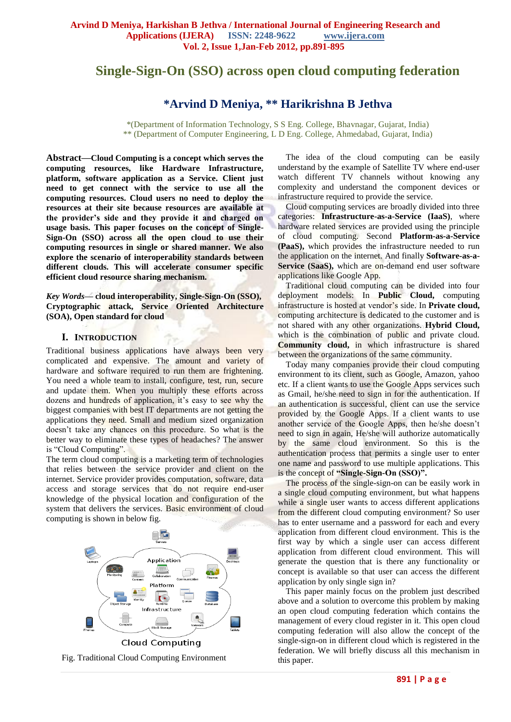# **Single-Sign-On (SSO) across open cloud computing federation**

# **\*Arvind D Meniya, \*\* Harikrishna B Jethva**

\*(Department of Information Technology, S S Eng. College, Bhavnagar, Gujarat, India) \*\* (Department of Computer Engineering, L D Eng. College, Ahmedabad, Gujarat, India)

**Abstract—Cloud Computing is a concept which serves the computing resources, like Hardware Infrastructure, platform, software application as a Service. Client just need to get connect with the service to use all the computing resources. Cloud users no need to deploy the resources at their site because resources are available at the provider's side and they provide it and charged on usage basis. This paper focuses on the concept of Single-Sign-On (SSO) across all the open cloud to use their computing resources in single or shared manner. We also explore the scenario of interoperability standards between different clouds. This will accelerate consumer specific efficient cloud resource sharing mechanism.**

*Key Words***— cloud interoperability, Single-Sign-On (SSO), Cryptographic attack, Service Oriented Architecture (SOA), Open standard for cloud**

#### **I. INTRODUCTION**

Traditional business applications have always been very complicated and expensive. The amount and variety of hardware and software required to run them are frightening. You need a whole team to install, configure, test, run, secure and update them. When you multiply these efforts across dozens and hundreds of application, it's easy to see why the biggest companies with best IT departments are not getting the applications they need. Small and medium sized organization doesn't take any chances on this procedure. So what is the better way to eliminate these types of headaches? The answer is "Cloud Computing".

The term cloud computing is a marketing term of technologies that relies between the service provider and client on the internet. Service provider provides computation, software, data access and storage services that do not require end-user knowledge of the physical location and configuration of the system that delivers the services. Basic environment of cloud computing is shown in below fig.



Fig. Traditional Cloud Computing Environment

The idea of the cloud computing can be easily understand by the example of Satellite TV where end-user watch different TV channels without knowing any complexity and understand the component devices or infrastructure required to provide the service.

Cloud computing services are broadly divided into three categories: **Infrastructure-as-a-Service (IaaS)**, where hardware related services are provided using the principle of cloud computing. Second **Platform-as-a-Service (PaaS),** which provides the infrastructure needed to run the application on the internet. And finally **Software-as-a-**Service (SaaS), which are on-demand end user software applications like Google App.

Traditional cloud computing can be divided into four deployment models: In **Public Cloud,** computing infrastructure is hosted at vendor's side. In **Private cloud,** computing architecture is dedicated to the customer and is not shared with any other organizations. **Hybrid Cloud,** which is the combination of public and private cloud. **Community cloud,** in which infrastructure is shared between the organizations of the same community.

Today many companies provide their cloud computing environment to its client, such as Google, Amazon, yahoo etc. If a client wants to use the Google Apps services such as Gmail, he/she need to sign in for the authentication. If an authentication is successful, client can use the service provided by the Google Apps. If a client wants to use another service of the Google Apps, then he/she doesn't need to sign in again, He/she will authorize automatically by the same cloud environment. So this is the authentication process that permits a single user to enter one name and password to use multiple applications. This is the concept of **"Single-Sign-On (SSO)".** 

The process of the single-sign-on can be easily work in a single cloud computing environment, but what happens while a single user wants to access different applications from the different cloud computing environment? So user has to enter username and a password for each and every application from different cloud environment. This is the first way by which a single user can access different application from different cloud environment. This will generate the question that is there any functionality or concept is available so that user can access the different application by only single sign in?

This paper mainly focus on the problem just described above and a solution to overcome this problem by making an open cloud computing federation which contains the management of every cloud register in it. This open cloud computing federation will also allow the concept of the single-sign-on in different cloud which is registered in the federation. We will briefly discuss all this mechanism in this paper.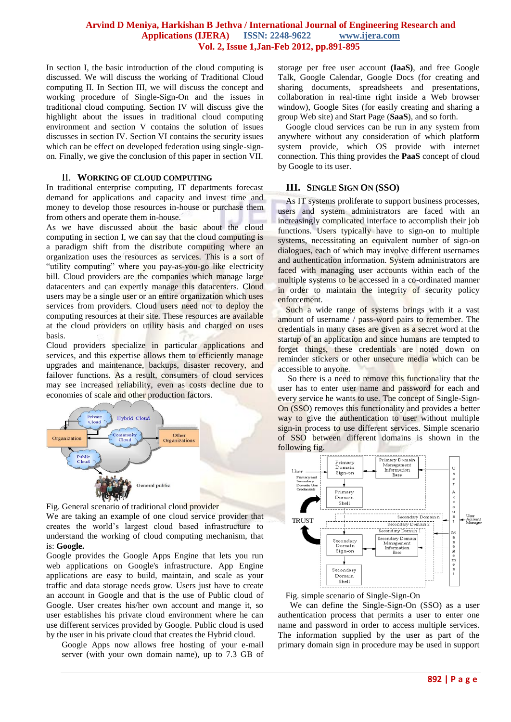In section I, the basic introduction of the cloud computing is discussed. We will discuss the working of Traditional Cloud computing II. In Section III, we will discuss the concept and working procedure of Single-Sign-On and the issues in traditional cloud computing. Section IV will discuss give the highlight about the issues in traditional cloud computing environment and section V contains the solution of issues discusses in section IV. Section VI contains the security issues which can be effect on developed federation using single-signon. Finally, we give the conclusion of this paper in section VII.

#### II. **WORKING OF CLOUD COMPUTING**

In traditional enterprise computing, IT departments forecast demand for applications and capacity and invest time and money to develop those resources in-house or purchase them from others and operate them in-house.

As we have discussed about the basic about the cloud computing in section I, we can say that the cloud computing is a paradigm shift from the distribute computing where an organization uses the resources as services. This is a sort of "utility computing" where you pay-as-you-go like electricity bill. Cloud providers are the companies which manage large datacenters and can expertly manage this datacenters. Cloud users may be a single user or an entire organization which uses services from providers. Cloud users need not to deploy the computing resources at their site. These resources are available at the cloud providers on utility basis and charged on uses basis.

Cloud providers specialize in particular applications and services, and this expertise allows them to efficiently manage upgrades and maintenance, backups, disaster recovery, and failover functions. As a result, consumers of cloud services may see increased reliability, even as costs decline due to economies of scale and other production factors.



Fig. General scenario of traditional cloud provider We are taking an example of one cloud service provider that creates the world's largest cloud based infrastructure to understand the working of cloud computing mechanism, that is: **Google.** 

Google provides the Google Apps Engine that lets you run web applications on Google's infrastructure. App Engine applications are easy to build, maintain, and scale as your traffic and data storage needs grow. Users just have to create an account in Google and that is the use of Public cloud of Google. User creates his/her own account and mange it, so user establishes his private cloud environment where he can use different services provided by Google. Public cloud is used by the user in his private cloud that creates the Hybrid cloud.

Google Apps now allows free hosting of your e-mail server (with your own domain name), up to 7.3 GB of storage per free user account **(IaaS)**, and free Google Talk, Google Calendar, Google Docs (for creating and sharing documents, spreadsheets and presentations, collaboration in real-time right inside a Web browser window), Google Sites (for easily creating and sharing a group Web site) and Start Page (**SaaS**), and so forth.

Google cloud services can be run in any system from anywhere without any consideration of which platform system provide, which OS provide with internet connection. This thing provides the **PaaS** concept of cloud by Google to its user.

#### **III. SINGLE SIGN ON (SSO)**

As IT systems proliferate to support business processes, users and system administrators are faced with an increasingly complicated interface to accomplish their job functions. Users typically have to sign-on to multiple systems, necessitating an equivalent number of sign-on dialogues, each of which may involve different usernames and authentication information. System administrators are faced with managing user accounts within each of the multiple systems to be accessed in a co-ordinated manner in order to maintain the integrity of security policy enforcement.

Such a wide range of systems brings with it a vast amount of username / pass-word pairs to remember. The credentials in many cases are given as a secret word at the startup of an application and since humans are tempted to forget things, these credentials are noted down on reminder stickers or other unsecure media which can be accessible to anyone.

So there is a need to remove this functionality that the user has to enter user name and password for each and every service he wants to use. The concept of Single-Sign-On (SSO) removes this functionality and provides a better way to give the authentication to user without multiple sign-in process to use different services. Simple scenario of SSO between different domains is shown in the following fig.





 We can define the Single-Sign-On (SSO) as a user authentication process that permits a user to enter one name and password in order to access multiple services. The information supplied by the user as part of the primary domain sign in procedure may be used in support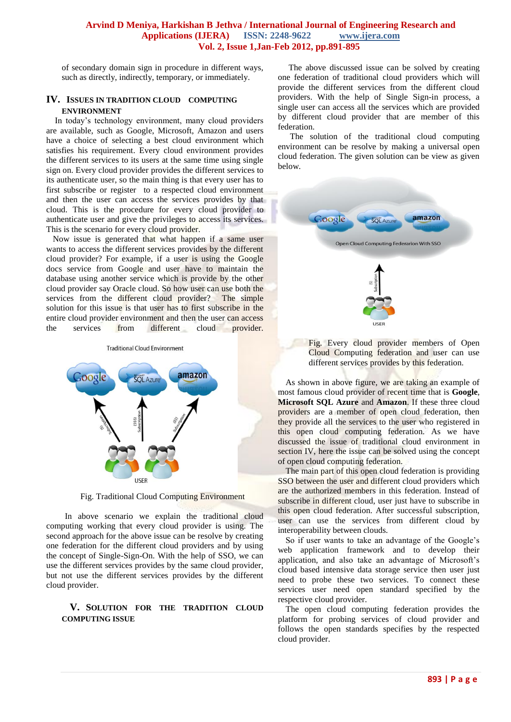of secondary domain sign in procedure in different ways, such as directly, indirectly, temporary, or immediately.

#### **IV. ISSUES IN TRADITION CLOUD COMPUTING ENVIRONMENT**

 In today's technology environment, many cloud providers are available, such as Google, Microsoft, Amazon and users have a choice of selecting a best cloud environment which satisfies his requirement. Every cloud environment provides the different services to its users at the same time using single sign on. Every cloud provider provides the different services to its authenticate user, so the main thing is that every user has to first subscribe or register to a respected cloud environment and then the user can access the services provides by that cloud. This is the procedure for every cloud provider to authenticate user and give the privileges to access its services. This is the scenario for every cloud provider.

 Now issue is generated that what happen if a same user wants to access the different services provides by the different cloud provider? For example, if a user is using the Google docs service from Google and user have to maintain the database using another service which is provide by the other cloud provider say Oracle cloud. So how user can use both the services from the different cloud provider? The simple solution for this issue is that user has to first subscribe in the entire cloud provider environment and then the user can access the services from different cloud provider.

**Traditional Cloud Environment** 



Fig. Traditional Cloud Computing Environment

 In above scenario we explain the traditional cloud computing working that every cloud provider is using. The second approach for the above issue can be resolve by creating one federation for the different cloud providers and by using the concept of Single-Sign-On. With the help of SSO, we can use the different services provides by the same cloud provider, but not use the different services provides by the different cloud provider.

#### **V. SOLUTION FOR THE TRADITION CLOUD COMPUTING ISSUE**

 The above discussed issue can be solved by creating one federation of traditional cloud providers which will provide the different services from the different cloud providers. With the help of Single Sign-in process, a single user can access all the services which are provided by different cloud provider that are member of this federation.

 The solution of the traditional cloud computing environment can be resolve by making a universal open cloud federation. The given solution can be view as given below.



Fig. Every cloud provider members of Open Cloud Computing federation and user can use different services provides by this federation.

As shown in above figure, we are taking an example of most famous cloud provider of recent time that is **Google**, **Microsoft SQL Azure** and **Amazon**. If these three cloud providers are a member of open cloud federation, then they provide all the services to the user who registered in this open cloud computing federation. As we have discussed the issue of traditional cloud environment in section IV, here the issue can be solved using the concept of open cloud computing federation.

The main part of this open cloud federation is providing SSO between the user and different cloud providers which are the authorized members in this federation. Instead of subscribe in different cloud, user just have to subscribe in this open cloud federation. After successful subscription, user can use the services from different cloud by interoperability between clouds.

So if user wants to take an advantage of the Google's web application framework and to develop their application, and also take an advantage of Microsoft's cloud based intensive data storage service then user just need to probe these two services. To connect these services user need open standard specified by the respective cloud provider.

The open cloud computing federation provides the platform for probing services of cloud provider and follows the open standards specifies by the respected cloud provider.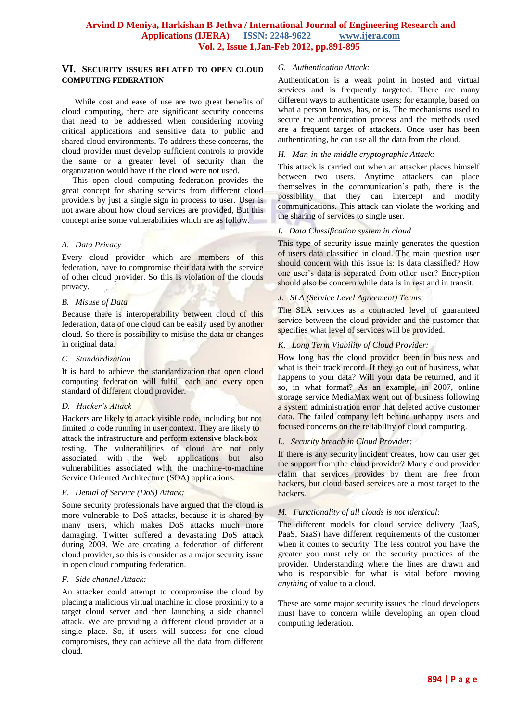#### **VI. SECURITY ISSUES RELATED TO OPEN CLOUD COMPUTING FEDERATION**

 While cost and ease of use are two great benefits of cloud computing, there are significant security concerns that need to be addressed when considering moving critical applications and sensitive data to public and shared cloud environments. To address these concerns, the cloud provider must develop sufficient controls to provide the same or a greater level of security than the organization would have if the cloud were not used.

 This open cloud computing federation provides the great concept for sharing services from different cloud providers by just a single sign in process to user. User is not aware about how cloud services are provided, But this concept arise some vulnerabilities which are as follow.

### *A. Data Privacy*

Every cloud provider which are members of this federation, have to compromise their data with the service of other cloud provider. So this is violation of the clouds privacy.

### *B. Misuse of Data*

Because there is interoperability between cloud of this federation, data of one cloud can be easily used by another cloud. So there is possibility to misuse the data or changes in original data.

#### *C. Standardization*

It is hard to achieve the standardization that open cloud computing federation will fulfill each and every open standard of different cloud provider.

# *D. Hacker's Attack*

Hackers are likely to attack visible code, including but not limited to code running in user context. They are likely to attack the infrastructure and perform extensive black box testing. The vulnerabilities of cloud are not only associated with the web applications but also vulnerabilities associated with the machine-to-machine Service Oriented Architecture (SOA) applications.

# *E. Denial of Service (DoS) Attack:*

Some security professionals have argued that the cloud is more vulnerable to DoS attacks, because it is shared by many users, which makes DoS attacks much more damaging. Twitter suffered a devastating DoS attack during 2009. We are creating a federation of different cloud provider, so this is consider as a major security issue in open cloud computing federation.

# *F. Side channel Attack:*

An attacker could attempt to compromise the cloud by placing a malicious virtual machine in close proximity to a target cloud server and then launching a side channel attack. We are providing a different cloud provider at a single place. So, if users will success for one cloud compromises, they can achieve all the data from different cloud.

# *G. Authentication Attack:*

Authentication is a weak point in hosted and virtual services and is frequently targeted. There are many different ways to authenticate users; for example, based on what a person knows, has, or is. The mechanisms used to secure the authentication process and the methods used are a frequent target of attackers. Once user has been authenticating, he can use all the data from the cloud.

### *H. Man-in-the-middle cryptographic Attack:*

This attack is carried out when an attacker places himself between two users. Anytime attackers can place themselves in the communication's path, there is the possibility that they can intercept and modify communications. This attack can violate the working and the sharing of services to single user.

### *I. Data Classification system in cloud*

This type of security issue mainly generates the question of users data classified in cloud. The main question user should concern with this issue is: Is data classified? How one user's data is separated from other user? Encryption should also be concern while data is in rest and in transit.

# *J. SLA (Service Level Agreement) Terms:*

The SLA services as a contracted level of guaranteed service between the cloud provider and the customer that specifies what level of services will be provided.

# *K. Long Term Viability of Cloud Provider:*

How long has the cloud provider been in business and what is their track record. If they go out of business, what happens to your data? Will your data be returned, and if so, in what format? As an example, in 2007, online storage service MediaMax went out of business following a system administration error that deleted active customer data. The failed company left behind unhappy users and focused concerns on the reliability of cloud computing.

# *L. Security breach in Cloud Provider:*

If there is any security incident creates, how can user get the support from the cloud provider? Many cloud provider claim that services provides by them are free from hackers, but cloud based services are a most target to the hackers.

# *M. Functionality of all clouds is not identical:*

The different models for cloud service delivery (IaaS, PaaS, SaaS) have different requirements of the customer when it comes to security. The less control you have the greater you must rely on the security practices of the provider. Understanding where the lines are drawn and who is responsible for what is vital before moving *anything* of value to a cloud.

These are some major security issues the cloud developers must have to concern while developing an open cloud computing federation.